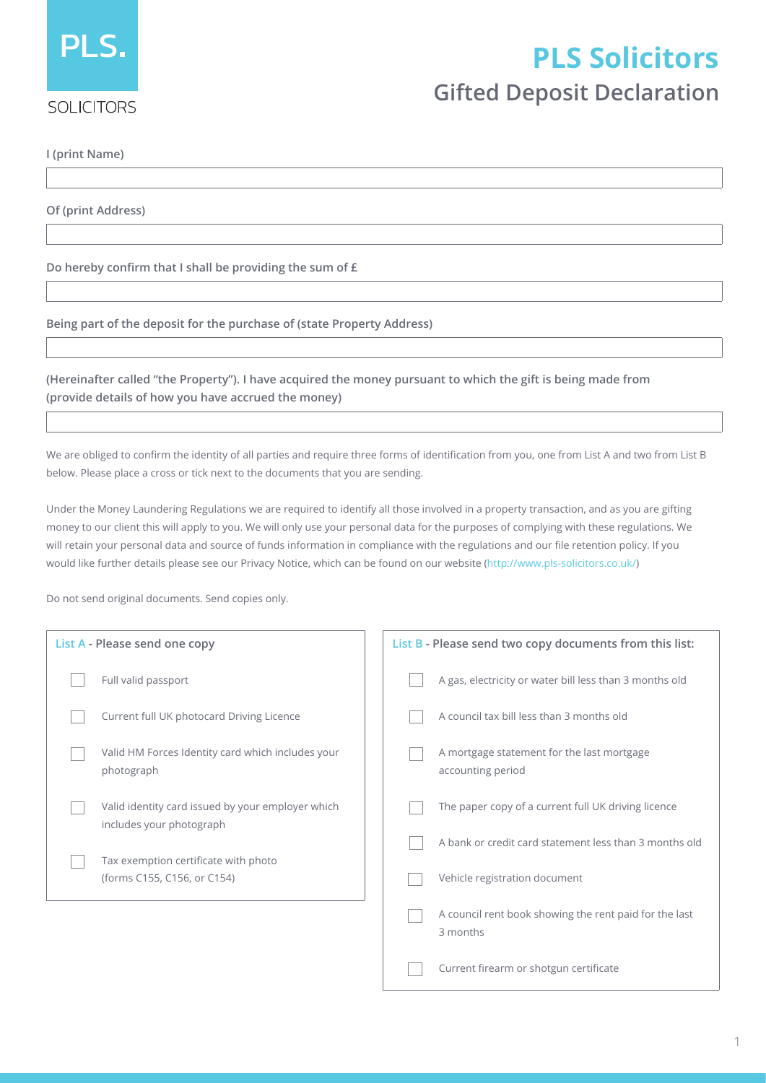

## **PLS Solicitors**

## **Gifted Deposit Declaration**

**I (print Name)**

**Of (print Address)**

**Do hereby confirm that I shall be providing the sum of £**

**Being part of the deposit for the purchase of (state Property Address)**

**(Hereinafter called "the Property"). I have acquired the money pursuant to which the gift is being made from (provide details of how you have accrued the money)**

We are obliged to confirm the identity of all parties and require three forms of identification from you, one from List A and two from List B below. Please place a cross or tick next to the documents that you are sending.

Under the Money Laundering Regulations we are required to identify all those involved in a property transaction, and as you are gifting money to our client this will apply to you. We will only use your personal data for the purposes of complying with these regulations. We will retain your personal data and source of funds information in compliance with the regulations and our file retention policy. If you would like further details please see our Privacy Notice, which can be found on our website (http://www.pls-solicitors.co.uk/)

Do not send original documents. Send copies only.

| List A - Please send one copy                                                 | List B - Please send two copy documents from this list:            |  |
|-------------------------------------------------------------------------------|--------------------------------------------------------------------|--|
| Full valid passport                                                           | A gas, electricity or water bill less than 3 months old            |  |
| Current full UK photocard Driving Licence                                     | A council tax bill less than 3 months old                          |  |
| Valid HM Forces Identity card which includes your<br>photograph               | A mortgage statement for the last mortgage<br>accounting period    |  |
| Valid identity card issued by your employer which<br>includes your photograph | The paper copy of a current full UK driving licence                |  |
| Tax exemption certificate with photo                                          | A bank or credit card statement less than 3 months old             |  |
| (forms C155, C156, or C154)                                                   | Vehicle registration document                                      |  |
|                                                                               | A council rent book showing the rent paid for the last<br>3 months |  |
|                                                                               | Current firearm or shotgun certificate                             |  |